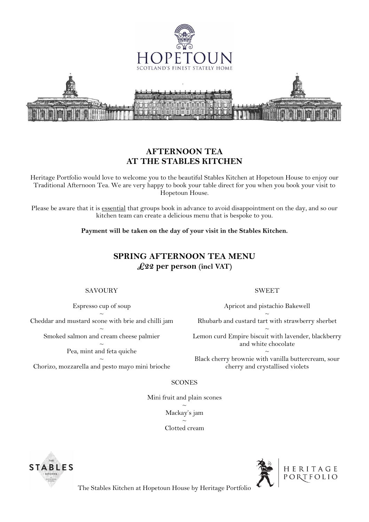

## **AFTERNOON TEA AT THE STABLES KITCHEN**

Heritage Portfolio would love to welcome you to the beautiful Stables Kitchen at Hopetoun House to enjoy our Traditional Afternoon Tea. We are very happy to book your table direct for you when you book your visit to Hopetoun House.

Please be aware that it is essential that groups book in advance to avoid disappointment on the day, and so our kitchen team can create a delicious menu that is bespoke to you.

**Payment will be taken on the day of your visit in the Stables Kitchen.**

# **SPRING AFTERNOON TEA MENU £22 per person (incl VAT)**

### SAVOURY

Espresso cup of soup

 $\sim$ Cheddar and mustard scone with brie and chilli jam

 $\sim$ Smoked salmon and cream cheese palmier

> $\sim$ Pea, mint and feta quiche

 $\sim$ Chorizo, mozzarella and pesto mayo mini brioche

#### SWEET

Apricot and pistachio Bakewell

 $\sim$ Rhubarb and custard tart with strawberry sherbet

 $\sim$ Lemon curd Empire biscuit with lavender, blackberry and white chocolate

 $\sim$ Black cherry brownie with vanilla buttercream, sour cherry and crystallised violets

### **SCONES**

Mini fruit and plain scones  $\sim$ Mackay's jam  $\sim$ Clotted cream





The Stables Kitchen at Hopetoun House by Heritage Portfolio